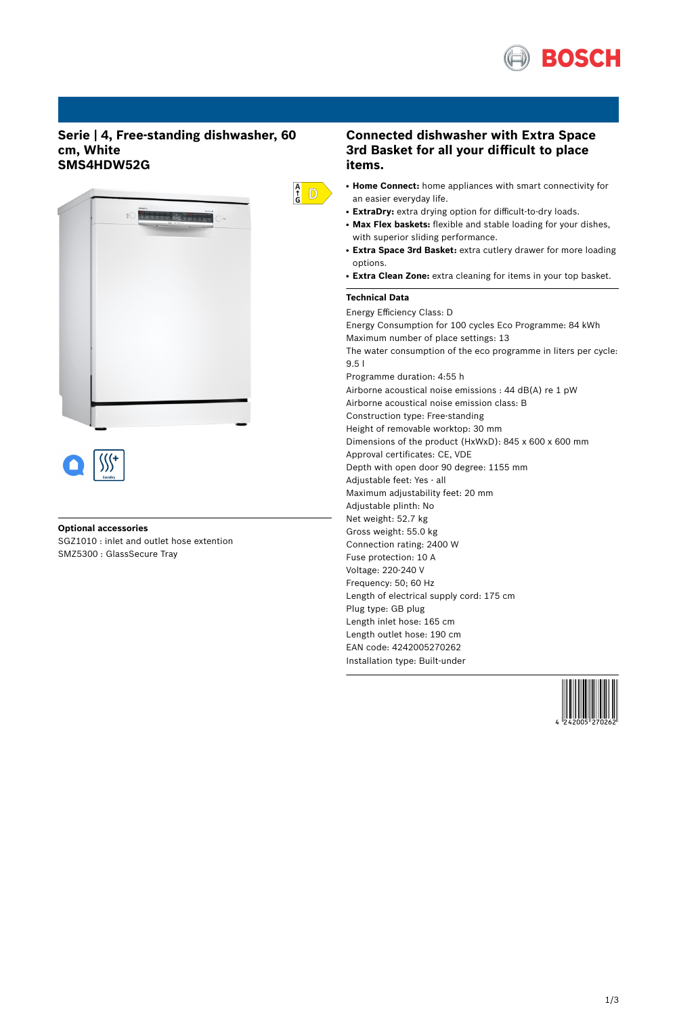

## **Serie | 4, Free-standing dishwasher, 60 cm, White SMS4HDW52G**



#### **Optional accessories**

SGZ1010 : inlet and outlet hose extention SMZ5300 : GlassSecure Tray

## **Connected dishwasher with Extra Space 3rd Basket for all your difficult to place items.**

- **Home Connect:** home appliances with smart connectivity for an easier everyday life.
- ExtraDry: extra drying option for difficult-to-dry loads.
- **Max Flex baskets:** flexible and stable loading for your dishes, with superior sliding performance.
- **Extra Space 3rd Basket:** extra cutlery drawer for more loading options.
- **Extra Clean Zone:** extra cleaning for items in your top basket.

### **Technical Data**

 $\frac{A}{G}$  D

Energy Efficiency Class: D Energy Consumption for 100 cycles Eco Programme: 84 kWh Maximum number of place settings: 13 The water consumption of the eco programme in liters per cycle: 9.5 l Programme duration: 4:55 h Airborne acoustical noise emissions : 44 dB(A) re 1 pW Airborne acoustical noise emission class: B Construction type: Free-standing Height of removable worktop: 30 mm Dimensions of the product (HxWxD): 845 x 600 x 600 mm Approval certificates: CE, VDE Depth with open door 90 degree: 1155 mm Adjustable feet: Yes - all Maximum adjustability feet: 20 mm Adjustable plinth: No Net weight: 52.7 kg Gross weight: 55.0 kg Connection rating: 2400 W Fuse protection: 10 A Voltage: 220-240 V Frequency: 50; 60 Hz Length of electrical supply cord: 175 cm Plug type: GB plug Length inlet hose: 165 cm Length outlet hose: 190 cm EAN code: 4242005270262 Installation type: Built-under

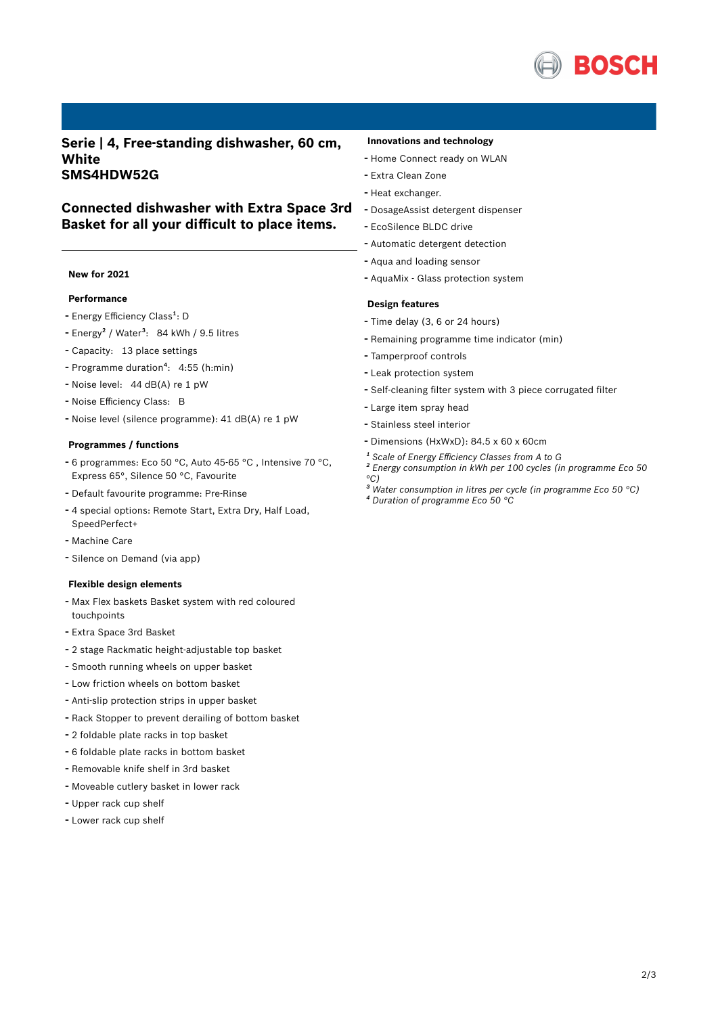

**Serie | 4, Free-standing dishwasher, 60 cm, White SMS4HDW52G**

**Basket for all your difficult to place items.**

# **Connected dishwasher with Extra Space 3rd**

#### **New for 2021**

#### **Performance**

- Energy Efficiency Class<sup>1</sup>: D
- Energy<sup>2</sup> / Water<sup>3</sup>: 84 kWh / 9.5 litres
- Capacity: <sup>13</sup> place settings
- Programme duration<sup>4</sup>: 4:55 (h:min)
- Noise level: <sup>44</sup> dB(A) re <sup>1</sup> pW
- Noise Efficiency Class: <sup>B</sup>
- Noise level (silence programme): <sup>41</sup> dB(A) re <sup>1</sup> pW

#### **Programmes / functions**

- <sup>6</sup> programmes: Eco <sup>50</sup> °C, Auto 45-65 °C , Intensive <sup>70</sup> °C, Express 65°, Silence 50 °C, Favourite
- Default favourite programme: Pre-Rinse
- <sup>4</sup> special options: Remote Start, Extra Dry, Half Load, SpeedPerfect+
- Machine Care
- Silence on Demand (via app)

#### **Flexible design elements**

- Max Flex baskets Basket system with red coloured touchpoints
- Extra Space 3rd Basket
- <sup>2</sup> stage Rackmatic height-adjustable top basket
- Smooth running wheels on upper basket
- Low friction wheels on bottom basket
- Anti-slip protection strips in upper basket
- Rack Stopper to prevent derailing of bottom basket
- <sup>2</sup> foldable plate racks in top basket
- <sup>6</sup> foldable plate racks in bottom basket
- Removable knife shelf in 3rd basket
- Moveable cutlery basket in lower rack
- Upper rack cup shelf
- Lower rack cup shelf

#### **Innovations and technology**

- Home Connect ready on WLAN
- Extra Clean Zone
- Heat exchanger.
- DosageAssist detergent dispenser
- EcoSilence BLDC drive
- Automatic detergent detection
- Aqua and loading sensor
- AquaMix Glass protection system

#### **Design features**

- Time delay (3, <sup>6</sup> or <sup>24</sup> hours)
- Remaining programme time indicator (min)
- Tamperproof controls
- Leak protection system
- Self-cleaning filter system with <sup>3</sup> piece corrugated filter
- Large item spray head
- Stainless steel interior
- Dimensions (HxWxD): 84.5 x 60 x 60cm
- *¹ Scale of Energy Efficiency Classes from A to G*
- *² Energy consumption in kWh per 100 cycles (in programme Eco 50 °C)*
- *³ Water consumption in litres per cycle (in programme Eco 50 °C) ⁴ Duration of programme Eco 50 °C*